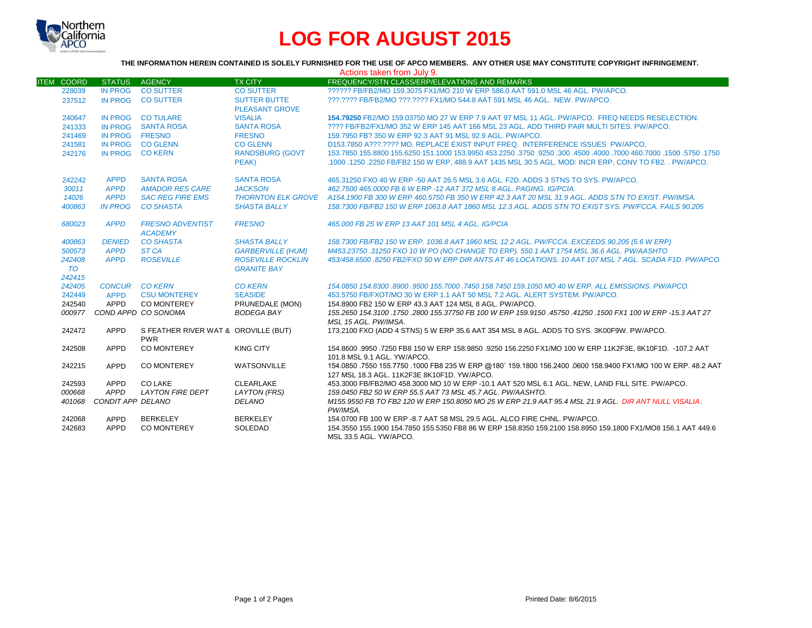

# **LOG FOR AUGUST 2015**

## **THE INFORMATION HEREIN CONTAINED IS SOLELY FURNISHED FOR THE USE OF APCO MEMBERS. ANY OTHER USE MAY CONSTITUTE COPYRIGHT INFRINGEMENT.**

| Actions taken from July 9.  |                       |                                                    |                                                |                                                                                                                                                              |  |  |  |
|-----------------------------|-----------------------|----------------------------------------------------|------------------------------------------------|--------------------------------------------------------------------------------------------------------------------------------------------------------------|--|--|--|
| <b>ITEM</b><br><b>COORD</b> | <b>STATUS</b>         | <b>AGENCY</b>                                      | <b>TX CITY</b>                                 | FREQUENCY/STN CLASS/ERP/ELEVATIONS AND REMARKS                                                                                                               |  |  |  |
| 228039                      |                       | IN PROG CO SUTTER                                  | <b>CO SUTTER</b>                               | ?????? FB/FB2/MO 159.3075 FX1/MO 210 W ERP 586.0 AAT 591.0 MSL 46 AGL, PW/APCO.                                                                              |  |  |  |
| 237512                      |                       | IN PROG CO SUTTER                                  | <b>SUTTER BUTTE</b>                            | ???.???? FB/FB2/MO ???.???? FX1/MO 544.8 AAT 591 MSL 46 AGL. NEW. PW/APCO.                                                                                   |  |  |  |
|                             |                       |                                                    | <b>PLEASANT GROVE</b>                          |                                                                                                                                                              |  |  |  |
| 240647                      |                       | IN PROG CO TULARE                                  | <b>VISALIA</b>                                 | 154.79250 FB2/MO 159.03750 MO 27 W ERP 7.9 AAT 97 MSL 11 AGL, PW/APCO. FREQ NEEDS RESELECTION.                                                               |  |  |  |
| 241333                      |                       | IN PROG SANTA ROSA                                 | <b>SANTA ROSA</b>                              | ???? FB/FB2/FX1/MO 352 W ERP 145 AAT 166 MSL 23 AGL. ADD THIRD PAIR MULTI SITES, PW/APCO.                                                                    |  |  |  |
| 241469                      | IN PROG FRESNO        |                                                    | <b>FRESNO</b>                                  | 159.7950 FB? 350 W ERP 92.3 AAT 91 MSL 92.9 AGL, PW/APCO.                                                                                                    |  |  |  |
| 241581                      |                       | IN PROG CO GLENN                                   | <b>CO GLENN</b>                                | D153.7850 A???.???? MO. REPLACE EXIST INPUT FREQ. INTERFERENCE ISSUES PW/APCO.                                                                               |  |  |  |
| 242176                      | IN PROG CO KERN       |                                                    | <b>RANDSBURG (GOVT</b>                         | 1750, 1750, 1500, 1600, 1000 160, 1000, 1600, 1600, 1750, 1750, 1750, 153,9950 161,1000 153,9950 155,0250 1550                                               |  |  |  |
|                             |                       |                                                    | PEAK)                                          | .1000 .1250 .2250 FB/FB2 150 W ERP. 488.9 AAT 1435 MSL 30.5 AGL. MOD: INCR ERP. CONV TO FB2. . PW/APCO.                                                      |  |  |  |
| 242242                      | <b>APPD</b>           | <b>SANTA ROSA</b>                                  | <b>SANTA ROSA</b>                              | 465,31250 FXO 40 W ERP -50 AAT 26.5 MSL 3.6 AGL, F2D, ADDS 3 STNS TO SYS, PW/APCO,                                                                           |  |  |  |
| 30011                       | <b>APPD</b>           | <b>AMADOR RES CARE</b>                             | <b>JACKSON</b>                                 | 462.7500 465.0000 FB 6 W ERP -12 AAT 372 MSL 8 AGL, PAGING, IG/PCIA.                                                                                         |  |  |  |
| 14026                       | <b>APPD</b>           | <b>SAC REG FIRE EMS</b>                            |                                                | THORNTON ELK GROVE A154.1900 FB 300 W ERP 460.5750 FB 350 W ERP 42.3 AAT 20 MSL 31.9 AGL. ADDS STN TO EXIST. PW/IMSA.                                        |  |  |  |
| 400863                      | <b>IN PROG</b>        | <b>CO SHASTA</b>                                   | <b>SHASTA BALLY</b>                            | 158.7300 FB/FB2 150 W ERP 1063.8 AAT 1860 MSL 12.3 AGL. ADDS STN TO EXIST SYS. PW/FCCA. FAILS 90.205                                                         |  |  |  |
| 680023                      | <b>APPD</b>           | <b>FRESNO ADVENTIST</b><br><b>ACADEMY</b>          | <b>FRESNO</b>                                  | 465,000 FB 25 W ERP 13 AAT 101 MSL 4 AGL, IG/PCIA                                                                                                            |  |  |  |
| 400863                      | <b>DENIED</b>         | <b>CO SHASTA</b>                                   | <b>SHASTA BALLY</b>                            | 158.7300 FB/FB2 150 W ERP. 1036.8 AAT 1860 MSL 12.2 AGL. PW/FCCA. EXCEEDS 90.205 (5.6 W ERP)                                                                 |  |  |  |
| 500573                      | <b>APPD</b>           | ST <sub>CA</sub>                                   | <b>GARBERVILLE (HUM)</b>                       | M453.23750 .31250 FXO 10 W PO (NO CHANGE TO ERP). 550.1 AAT 1754 MSL 36.6 AGL. PW/AASHTO                                                                     |  |  |  |
| 242408<br><b>TO</b>         | <b>APPD</b>           | <b>ROSEVILLE</b>                                   | <b>ROSEVILLE ROCKLIN</b><br><b>GRANITE BAY</b> | 453/458.6500.8250 FB2/FXO 50 W ERP DIR ANTS AT 46 LOCATIONS. 10 AAT 107 MSL 7 AGL. SCADA F1D, PW/APCO,                                                       |  |  |  |
| 242415                      |                       |                                                    |                                                |                                                                                                                                                              |  |  |  |
| 242405                      | <b>CONCUR CO KERN</b> |                                                    | <b>CO KERN</b>                                 | 154.0850 154.8300 .8900 .9500 155.7000 .7450 158.7450 159.1050 MO 40 W ERP. ALL EMISSIONS. PW/APCO.                                                          |  |  |  |
| 242449                      | <b>APPD</b>           | <b>CSU MONTEREY</b>                                | <b>SEASIDE</b>                                 | 453,5750 FB/FXOT/MO 30 W ERP 1.1 AAT 50 MSL 7.2 AGL, ALERT SYSTEM, PW/APCO,                                                                                  |  |  |  |
| 242540                      | APPD                  | CO MONTEREY                                        | PRUNEDALE (MON)                                | 154.8900 FB2 150 W ERP 43.3 AAT 124 MSL 8 AGL, PW/APCO.                                                                                                      |  |  |  |
|                             |                       | 000977 COND APPD CO SONOMA                         | <b>BODEGA BAY</b>                              | 155.2650 154.3100 .1750 .2800 155.37750 FB 100 W ERP 159.9150 .45750 .41250 .1500 FX1 100 W ERP -15.3 AAT 27                                                 |  |  |  |
|                             |                       |                                                    |                                                | MSL 15 AGL. PW/IMSA.                                                                                                                                         |  |  |  |
| 242472                      | APPD                  | S FEATHER RIVER WAT & OROVILLE (BUT)<br><b>PWR</b> |                                                | 173.2100 FXO (ADD 4 STNS) 5 W ERP 35.6 AAT 354 MSL 8 AGL. ADDS TO SYS. 3K00F9W. PW/APCO.                                                                     |  |  |  |
| 242508                      | APPD                  | <b>CO MONTEREY</b>                                 | <b>KING CITY</b>                               | 154.8600 .9950 .7250 FB8 150 W ERP 158.9850 .9250 156.2250 FX1/MO 100 W ERP 11K2F3E, 8K10F1D. -107.2 AAT<br>101.8 MSL 9.1 AGL, YW/APCO.                      |  |  |  |
| 242215                      | APPD                  | <b>CO MONTEREY</b>                                 | WATSONVILLE                                    | 154.0850 .7550 155.7750 .1000 FB8 235 W ERP @180° 159.1800 156.2400 .0600 158.9400 FX1/MO 100 W ERP. 48.2 AAT<br>127 MSL 18.3 AGL, 11K2F3E 8K10F1D, YW/APCO, |  |  |  |
| 242593                      | APPD                  | CO LAKE                                            | <b>CLEARLAKE</b>                               | 453.3000 FB/FB2/MO 458.3000 MO 10 W ERP -10.1 AAT 520 MSL 6.1 AGL. NEW, LAND FILL SITE. PW/APCO.                                                             |  |  |  |
| 000668                      | <b>APPD</b>           | <b>LAYTON FIRE DEPT</b>                            | <b>LAYTON (FRS)</b>                            | 159.0450 FB2 50 W ERP 55.5 AAT 73 MSL 45.7 AGL, PW/AASHTO.                                                                                                   |  |  |  |
| 401068                      | CONDIT APP DELANO     |                                                    | <b>DELANO</b>                                  | M155,9550 FB TO FB2 120 W ERP 150,8050 MO 25 W ERP 21.9 AAT 95.4 MSL 21.9 AGL. DIR ANT NULL VISALIA.<br>PW/IMSA.                                             |  |  |  |
| 242068                      | APPD                  | <b>BERKELEY</b>                                    | <b>BERKELEY</b>                                | 154,0700 FB 100 W ERP -8.7 AAT 58 MSL 29.5 AGL, ALCO FIRE CHNL, PW/APCO.                                                                                     |  |  |  |
| 242683                      | <b>APPD</b>           | CO MONTEREY                                        | SOLEDAD                                        | 154,3550 155,1900 154,7850 155,5350 FB8 86 W ERP 158,8350 159,2100 158,8950 159,1800 FX1/MO8 156,1 AAT 449.6<br>MSL 33.5 AGL. YW/APCO.                       |  |  |  |